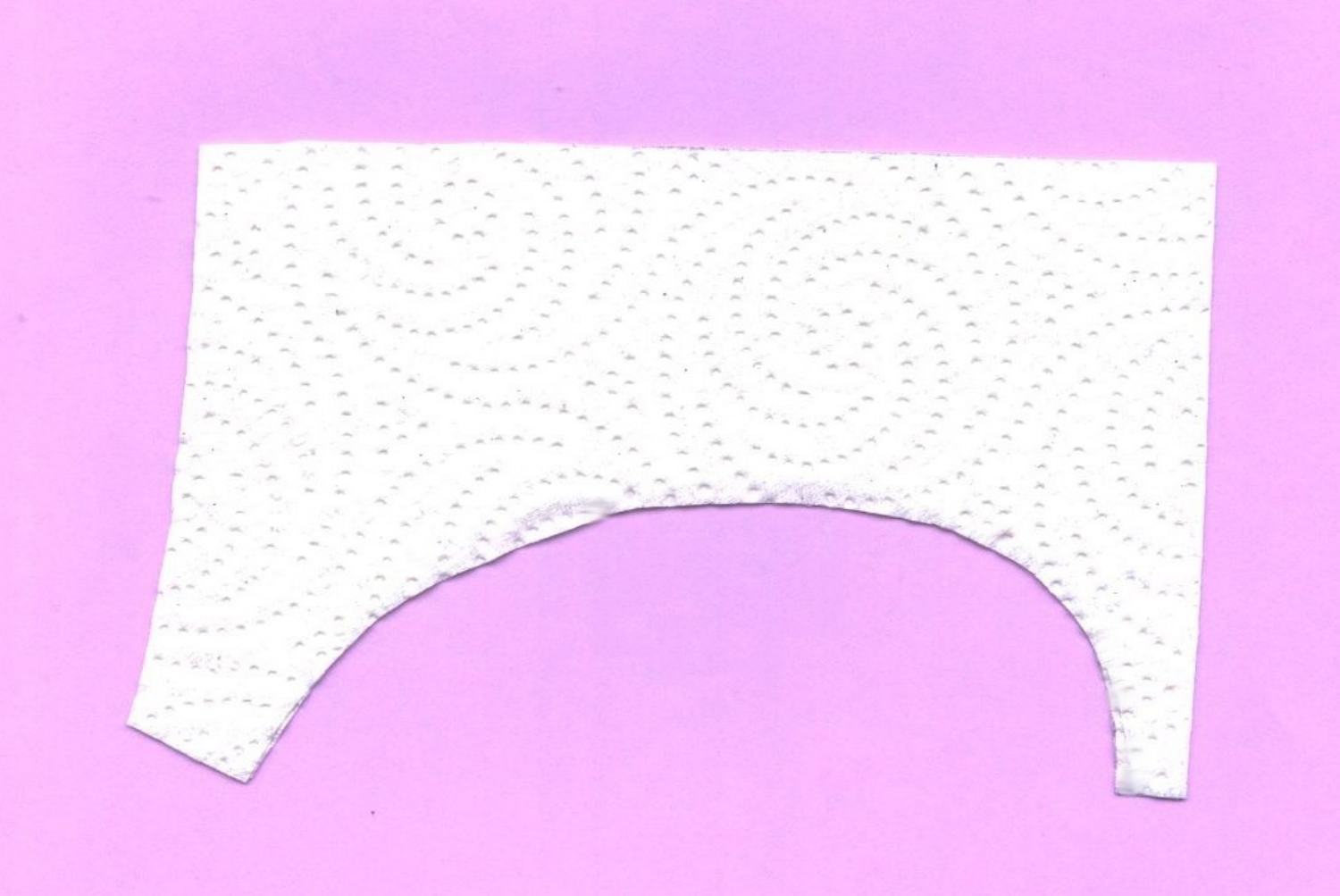